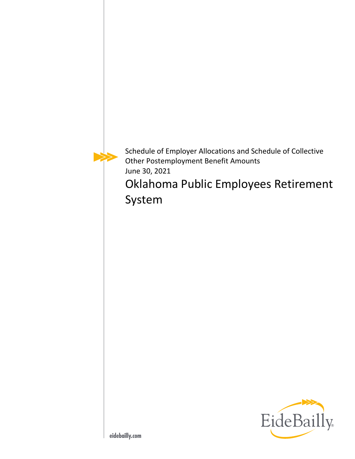Schedule of Employer Allocations and Schedule of Collective Other Postemployment Benefit Amounts June 30, 2021

Oklahoma Public Employees Retirement System

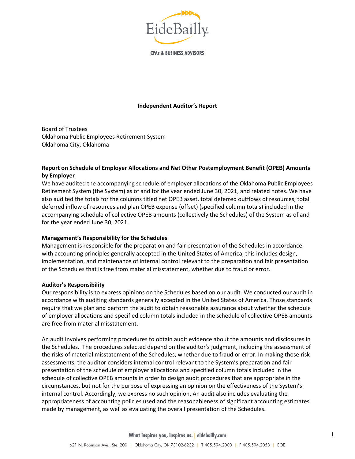

**CPAs & BUSINESS ADVISORS** 

### **Independent Auditor's Report**

Board of Trustees Oklahoma Public Employees Retirement System Oklahoma City, Oklahoma

### **Report on Schedule of Employer Allocations and Net Other Postemployment Benefit (OPEB) Amounts by Employer**

We have audited the accompanying schedule of employer allocations of the Oklahoma Public Employees Retirement System (the System) as of and for the year ended June 30, 2021, and related notes. We have also audited the totals for the columns titled net OPEB asset, total deferred outflows of resources, total deferred inflow of resources and plan OPEB expense (offset) (specified column totals) included in the accompanying schedule of collective OPEB amounts (collectively the Schedules) of the System as of and for the year ended June 30, 2021.

#### **Management's Responsibility for the Schedules**

Management is responsible for the preparation and fair presentation of the Schedules in accordance with accounting principles generally accepted in the United States of America; this includes design, implementation, and maintenance of internal control relevant to the preparation and fair presentation of the Schedules that is free from material misstatement, whether due to fraud or error.

#### **Auditor's Responsibility**

Our responsibility is to express opinions on the Schedules based on our audit. We conducted our audit in accordance with auditing standards generally accepted in the United States of America. Those standards require that we plan and perform the audit to obtain reasonable assurance about whether the schedule of employer allocations and specified column totals included in the schedule of collective OPEB amounts are free from material misstatement.

An audit involves performing procedures to obtain audit evidence about the amounts and disclosures in the Schedules. The procedures selected depend on the auditor's judgment, including the assessment of the risks of material misstatement of the Schedules, whether due to fraud or error. In making those risk assessments, the auditor considers internal control relevant to the System's preparation and fair presentation of the schedule of employer allocations and specified column totals included in the schedule of collective OPEB amounts in order to design audit procedures that are appropriate in the circumstances, but not for the purpose of expressing an opinion on the effectiveness of the System's internal control. Accordingly, we express no such opinion. An audit also includes evaluating the appropriateness of accounting policies used and the reasonableness of significant accounting estimates made by management, as well as evaluating the overall presentation of the Schedules.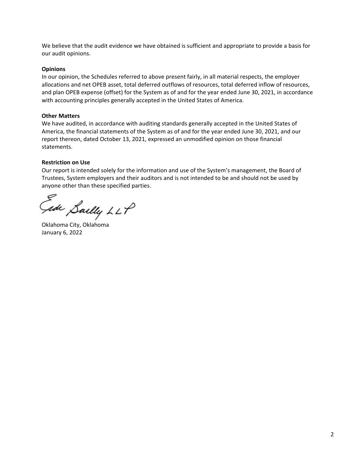We believe that the audit evidence we have obtained is sufficient and appropriate to provide a basis for our audit opinions.

### **Opinions**

In our opinion, the Schedules referred to above present fairly, in all material respects, the employer allocations and net OPEB asset, total deferred outflows of resources, total deferred inflow of resources, and plan OPEB expense (offset) for the System as of and for the year ended June 30, 2021, in accordance with accounting principles generally accepted in the United States of America.

### **Other Matters**

We have audited, in accordance with auditing standards generally accepted in the United States of America, the financial statements of the System as of and for the year ended June 30, 2021, and our report thereon, dated October 13, 2021, expressed an unmodified opinion on those financial statements.

### **Restriction on Use**

Our report is intended solely for the information and use of the System's management, the Board of Trustees, System employers and their auditors and is not intended to be and should not be used by anyone other than these specified parties.

Fede Sailly LLP

Oklahoma City, Oklahoma January 6, 2022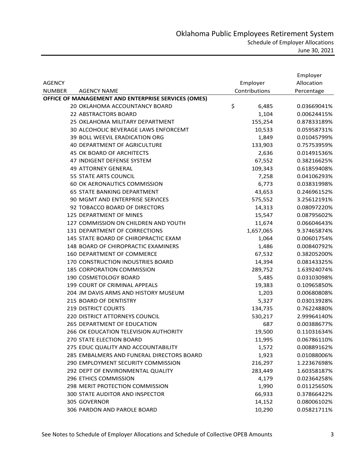|                                                     |               | Employer    |
|-----------------------------------------------------|---------------|-------------|
| <b>AGENCY</b>                                       | Employer      | Allocation  |
| <b>NUMBER</b><br><b>AGENCY NAME</b>                 | Contributions | Percentage  |
| OFFICE OF MANAGEMENT AND ENTERPRISE SERVICES (OMES) |               |             |
| 20 OKLAHOMA ACCOUNTANCY BOARD                       | \$<br>6,485   | 0.03669041% |
| 22 ABSTRACTORS BOARD                                | 1,104         | 0.00624415% |
| 25 OKLAHOMA MILITARY DEPARTMENT                     | 155,254       | 0.87833189% |
| 30 ALCOHOLIC BEVERAGE LAWS ENFORCEMT                | 10,533        | 0.05958731% |
| 39 BOLL WEEVIL ERADICATION ORG                      | 1,849         | 0.01045799% |
| 40 DEPARTMENT OF AGRICULTURE                        | 133,903       | 0.75753959% |
| 45 OK BOARD OF ARCHITECTS                           | 2,636         | 0.01491536% |
| 47 INDIGENT DEFENSE SYSTEM                          | 67,552        | 0.38216625% |
| <b>49 ATTORNEY GENERAL</b>                          | 109,343       | 0.61859408% |
| 55 STATE ARTS COUNCIL                               | 7,258         | 0.04106293% |
| 60 OK AERONAUTICS COMMISSION                        | 6,773         | 0.03831998% |
| <b>65 STATE BANKING DEPARTMENT</b>                  | 43,653        | 0.24696152% |
| 90 MGMT AND ENTERPRISE SERVICES                     | 575,552       | 3.25612191% |
| 92 TOBACCO BOARD OF DIRECTORS                       | 14,313        | 0.08097220% |
| <b>125 DEPARTMENT OF MINES</b>                      | 15,547        | 0.08795602% |
| 127 COMMISSION ON CHILDREN AND YOUTH                | 11,674        | 0.06604643% |
| 131 DEPARTMENT OF CORRECTIONS                       | 1,657,065     | 9.37465874% |
| 145 STATE BOARD OF CHIROPRACTIC EXAM                | 1,064         | 0.00601754% |
| 148 BOARD OF CHIROPRACTIC EXAMINERS                 | 1,486         | 0.00840792% |
| 160 DEPARTMENT OF COMMERCE                          | 67,532        | 0.38205200% |
| 170 CONSTRUCTION INDUSTRIES BOARD                   | 14,394        | 0.08143325% |
| <b>185 CORPORATION COMMISSION</b>                   | 289,752       | 1.63924074% |
| 190 COSMETOLOGY BOARD                               | 5,485         | 0.03103098% |
| 199 COURT OF CRIMINAL APPEALS                       | 19,383        | 0.10965850% |
| 204 JM DAVIS ARMS AND HISTORY MUSEUM                | 1,203         | 0.00680808% |
| 215 BOARD OF DENTISTRY                              | 5,327         | 0.03013928% |
| <b>219 DISTRICT COURTS</b>                          | 134,735       | 0.76224880% |
| 220 DISTRICT ATTORNEYS COUNCIL                      | 530,217       | 2.99964140% |
| 265 DEPARTMENT OF EDUCATION                         | 687           | 0.00388677% |
| 266 OK EDUCATION TELEVISION AUTHORITY               | 19,500        | 0.11031634% |
| 270 STATE ELECTION BOARD                            | 11,995        | 0.06786110% |
| 275 EDUC QUALITY AND ACCOUNTABILITY                 | 1,572         | 0.00889162% |
| 285 EMBALMERS AND FUNERAL DIRECTORS BOARD           | 1,923         | 0.01088006% |
| 290 EMPLOYMENT SECURITY COMMISSION                  | 216,297       | 1.22367698% |
| 292 DEPT OF ENVIRONMENTAL QUALITY                   | 283,449       | 1.60358187% |
| 296 ETHICS COMMISSION                               | 4,179         | 0.02364258% |
| 298 MERIT PROTECTION COMMISSION                     | 1,990         | 0.01125650% |
| 300 STATE AUDITOR AND INSPECTOR                     | 66,933        | 0.37866422% |
| 305 GOVERNOR                                        | 14,152        | 0.08006102% |
| 306 PARDON AND PAROLE BOARD                         | 10,290        | 0.05821711% |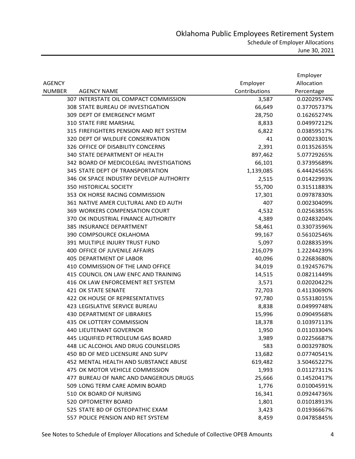|               |                                         |               | Employer    |
|---------------|-----------------------------------------|---------------|-------------|
| <b>AGENCY</b> |                                         | Employer      | Allocation  |
| <b>NUMBER</b> | <b>AGENCY NAME</b>                      | Contributions | Percentage  |
|               | 307 INTERSTATE OIL COMPACT COMMISSION   | 3,587         | 0.02029574% |
|               | 308 STATE BUREAU OF INVESTIGATION       | 66,649        | 0.37705737% |
|               | 309 DEPT OF EMERGENCY MGMT              | 28,750        | 0.16265274% |
|               | <b>310 STATE FIRE MARSHAL</b>           | 8,833         | 0.04997212% |
|               | 315 FIREFIGHTERS PENSION AND RET SYSTEM | 6,822         | 0.03859517% |
|               | 320 DEPT OF WILDLIFE CONSERVATION       | 41            | 0.00023301% |
|               | 326 OFFICE OF DISABILITY CONCERNS       | 2,391         | 0.01352635% |
|               | 340 STATE DEPARTMENT OF HEALTH          | 897,462       | 5.07729265% |
|               | 342 BOARD OF MEDICOLEGAL INVESTIGATIONS | 66,101        | 0.37395689% |
|               | 345 STATE DEPT OF TRANSPORTATION        | 1,139,085     | 6.44424565% |
|               | 346 OK SPACE INDUSTRY DEVELOP AUTHORITY | 2,515         | 0.01422993% |
|               | 350 HISTORICAL SOCIETY                  | 55,700        | 0.31511883% |
|               | 353 OK HORSE RACING COMMISSION          | 17,301        | 0.09787830% |
|               | 361 NATIVE AMER CULTURAL AND ED AUTH    | 407           | 0.00230409% |
|               | 369 WORKERS COMPENSATION COURT          | 4,532         | 0.02563855% |
|               | 370 OK INDUSTRIAL FINANCE AUTHORITY     | 4,389         | 0.02483204% |
|               | 385 INSURANCE DEPARTMENT                | 58,461        | 0.33073596% |
|               | 390 COMPSOURCE OKLAHOMA                 | 99,167        | 0.56102546% |
|               | 391 MULTIPLE INJURY TRUST FUND          | 5,097         | 0.02883539% |
|               | 400 OFFICE OF JUVENILE AFFAIRS          | 216,079       | 1.22244239% |
|               | <b>405 DEPARTMENT OF LABOR</b>          | 40,096        | 0.22683680% |
|               | 410 COMMISSION OF THE LAND OFFICE       | 34,019        | 0.19245767% |
|               | 415 COUNCIL ON LAW ENFC AND TRAINING    | 14,515        | 0.08211449% |
|               | 416 OK LAW ENFORCEMENT RET SYSTEM       | 3,571         | 0.02020422% |
|               | <b>421 OK STATE SENATE</b>              | 72,703        | 0.41130690% |
|               | 422 OK HOUSE OF REPRESENTATIVES         | 97,780        | 0.55318015% |
|               | 423 LEGISLATIVE SERVICE BUREAU          | 8,838         | 0.04999748% |
|               | <b>430 DEPARTMENT OF LIBRARIES</b>      | 15,996        | 0.09049568% |
|               | 435 OK LOTTERY COMMISSION               | 18,378        | 0.10397113% |
|               | <b>440 LIEUTENANT GOVERNOR</b>          | 1,950         | 0.01103304% |
|               | 445 LIQUIFIED PETROLEUM GAS BOARD       | 3,989         | 0.02256687% |
|               | 448 LIC ALCOHOL AND DRUG COUNSELORS     | 583           | 0.00329780% |
|               | 450 BD OF MED LICENSURE AND SUPV        | 13,682        | 0.07740541% |
|               | 452 MENTAL HEALTH AND SUBSTANCE ABUSE   | 619,482       | 3.50465227% |
|               | 475 OK MOTOR VEHICLE COMMISSION         | 1,993         | 0.01127311% |
|               | 477 BUREAU OF NARC AND DANGEROUS DRUGS  | 25,666        | 0.14520417% |
|               | 509 LONG TERM CARE ADMIN BOARD          | 1,776         | 0.01004591% |
|               | 510 OK BOARD OF NURSING                 | 16,341        | 0.09244736% |
|               | 520 OPTOMETRY BOARD                     | 1,801         | 0.01018913% |
|               | 525 STATE BD OF OSTEOPATHIC EXAM        | 3,423         | 0.01936667% |
|               | 557 POLICE PENSION AND RET SYSTEM       | 8,459         | 0.04785845% |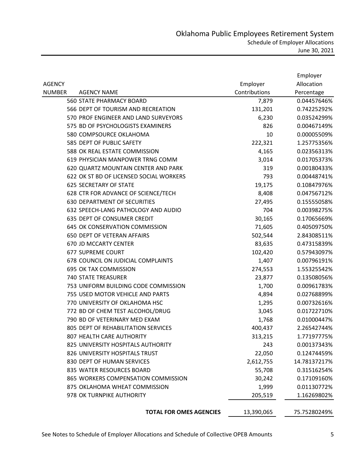|               |                                         |               | Employer     |
|---------------|-----------------------------------------|---------------|--------------|
| <b>AGENCY</b> |                                         | Employer      | Allocation   |
| <b>NUMBER</b> | <b>AGENCY NAME</b>                      | Contributions | Percentage   |
|               | <b>560 STATE PHARMACY BOARD</b>         | 7,879         | 0.04457646%  |
|               | 566 DEPT OF TOURISM AND RECREATION      | 131,201       | 0.74225292%  |
|               | 570 PROF ENGINEER AND LAND SURVEYORS    | 6,230         | 0.03524299%  |
|               | 575 BD OF PSYCHOLOGISTS EXAMINERS       | 826           | 0.00467149%  |
|               | 580 COMPSOURCE OKLAHOMA                 | 10            | 0.00005509%  |
|               | 585 DEPT OF PUBLIC SAFETY               | 222,321       | 1.25775356%  |
|               | 588 OK REAL ESTATE COMMISSION           | 4,165         | 0.02356313%  |
|               | 619 PHYSICIAN MANPOWER TRNG COMM        | 3,014         | 0.01705373%  |
|               | 620 QUARTZ MOUNTAIN CENTER AND PARK     | 319           | 0.00180433%  |
|               | 622 OK ST BD OF LICENSED SOCIAL WORKERS | 793           | 0.00448741%  |
|               | <b>625 SECRETARY OF STATE</b>           | 19,175        | 0.10847976%  |
|               | 628 CTR FOR ADVANCE OF SCIENCE/TECH     | 8,408         | 0.04756712%  |
|               | <b>630 DEPARTMENT OF SECURITIES</b>     | 27,495        | 0.15555058%  |
|               | 632 SPEECH-LANG PATHOLOGY AND AUDIO     | 704           | 0.00398275%  |
|               | 635 DEPT OF CONSUMER CREDIT             | 30,165        | 0.17065669%  |
|               | 645 OK CONSERVATION COMMISSION          | 71,605        | 0.40509750%  |
|               | 650 DEPT OF VETERAN AFFAIRS             | 502,544       | 2.84308511%  |
|               | 670 JD MCCARTY CENTER                   | 83,635        | 0.47315839%  |
|               | 677 SUPREME COURT                       | 102,420       | 0.57943097%  |
|               | 678 COUNCIL ON JUDICIAL COMPLAINTS      | 1,407         | 0.00796191%  |
|               | 695 OK TAX COMMISSION                   | 274,553       | 1.55325542%  |
|               | <b>740 STATE TREASURER</b>              | 23,877        | 0.13508056%  |
|               | 753 UNIFORM BUILDING CODE COMMISSION    | 1,700         | 0.00961783%  |
|               | 755 USED MOTOR VEHICLE AND PARTS        | 4,894         | 0.02768899%  |
|               | 770 UNIVERSITY OF OKLAHOMA HSC          | 1,295         | 0.00732616%  |
|               | 772 BD OF CHEM TEST ALCOHOL/DRUG        | 3,045         | 0.01722710%  |
|               | 790 BD OF VETERINARY MED EXAM           | 1,768         | 0.01000447%  |
|               | 805 DEPT OF REHABILITATION SERVICES     | 400,437       | 2.26542744%  |
|               | 807 HEALTH CARE AUTHORITY               | 313,215       | 1.77197775%  |
|               | 825 UNIVERSITY HOSPITALS AUTHORITY      | 243           | 0.00137343%  |
|               | 826 UNIVERSITY HOSPITALS TRUST          | 22,050        | 0.12474459%  |
|               | 830 DEPT OF HUMAN SERVICES              | 2,612,755     | 14.78137217% |
|               | 835 WATER RESOURCES BOARD               | 55,708        | 0.31516254%  |
|               | 865 WORKERS COMPENSATION COMMISSION     | 30,242        | 0.17109160%  |
|               | 875 OKLAHOMA WHEAT COMMISSION           | 1,999         | 0.01130772%  |
|               | 978 OK TURNPIKE AUTHORITY               | 205,519       | 1.16269802%  |
|               | <b>TOTAL FOR OMES AGENCIES</b>          | 13,390,065    | 75.75280249% |
|               |                                         |               |              |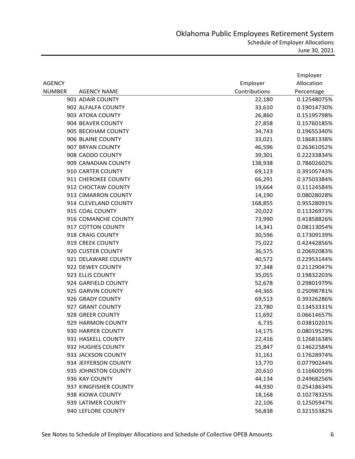|               |                       |               | Employer    |
|---------------|-----------------------|---------------|-------------|
| <b>AGENCY</b> |                       | Employer      | Allocation  |
| <b>NUMBER</b> | <b>AGENCY NAME</b>    | Contributions | Percentage  |
|               | 901 ADAIR COUNTY      | 22,180        | 0.12548075% |
|               | 902 ALFALFA COUNTY    | 33,610        | 0.19014730% |
|               | 903 ATOKA COUNTY      | 26,860        | 0.15195798% |
|               | 904 BEAVER COUNTY     | 27,858        | 0.15760185% |
|               | 905 BECKHAM COUNTY    | 34,743        | 0.19655340% |
|               | 906 BLAINE COUNTY     | 33,021        | 0.18681338% |
|               | 907 BRYAN COUNTY      | 46,596        | 0.26361052% |
|               | 908 CADDO COUNTY      | 39,301        | 0.22233834% |
|               | 909 CANADIAN COUNTY   | 138,938       | 0.78602602% |
|               | 910 CARTER COUNTY     | 69,123        | 0.39105743% |
|               | 911 CHEROKEE COUNTY   | 66,291        | 0.37503384% |
|               | 912 CHOCTAW COUNTY    | 19,664        | 0.11124584% |
|               | 913 CIMARRON COUNTY   | 14,190        | 0.08028028% |
|               | 914 CLEVELAND COUNTY  | 168,855       | 0.95528091% |
|               | 915 COAL COUNTY       | 20,022        | 0.11326973% |
|               | 916 COMANCHE COUNTY   | 73,990        | 0.41858826% |
|               | 917 COTTON COUNTY     | 14,341        | 0.08113054% |
|               | 918 CRAIG COUNTY      | 30,596        | 0.17309139% |
|               | 919 CREEK COUNTY      | 75,022        | 0.42442856% |
|               | 920 CUSTER COUNTY     | 36,575        | 0.20692083% |
|               | 921 DELAWARE COUNTY   | 40,572        | 0.22953144% |
|               | 922 DEWEY COUNTY      | 37,348        | 0.21129047% |
|               | 923 ELLIS COUNTY      | 35,055        | 0.19832203% |
|               | 924 GARFIELD COUNTY   | 52,678        | 0.29801979% |
|               | 925 GARVIN COUNTY     | 44,365        | 0.25098781% |
|               | 926 GRADY COUNTY      | 69,513        | 0.39326286% |
|               | 927 GRANT COUNTY      | 23,780        | 0.13453331% |
|               | 928 GREER COUNTY      | 11,692        | 0.06614657% |
|               | 929 HARMON COUNTY     | 6,735         | 0.03810201% |
|               | 930 HARPER COUNTY     | 14,175        | 0.08019529% |
|               | 931 HASKELL COUNTY    | 22,416        | 0.12681638% |
|               | 932 HUGHES COUNTY     | 25,847        | 0.14622584% |
|               | 933 JACKSON COUNTY    | 31,161        | 0.17628974% |
|               | 934 JEFFERSON COUNTY  | 13,770        | 0.07790244% |
|               | 935 JOHNSTON COUNTY   | 20,610        | 0.11660019% |
|               | 936 KAY COUNTY        | 44,134        | 0.24968256% |
|               | 937 KINGFISHER COUNTY | 44,930        | 0.25418634% |
|               | 938 KIOWA COUNTY      | 18,168        | 0.10278325% |
|               | 939 LATIMER COUNTY    | 22,106        | 0.12505947% |
|               | 940 LEFLORE COUNTY    | 56,838        | 0.32155382% |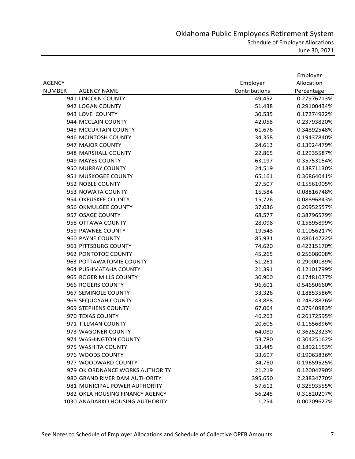|               |                                 |               | Employer    |
|---------------|---------------------------------|---------------|-------------|
| <b>AGENCY</b> |                                 | Employer      | Allocation  |
| <b>NUMBER</b> | <b>AGENCY NAME</b>              | Contributions | Percentage  |
|               | 941 LINCOLN COUNTY              | 49,452        | 0.27976713% |
|               | 942 LOGAN COUNTY                | 51,438        | 0.29100434% |
|               | 943 LOVE COUNTY                 | 30,535        | 0.17274922% |
|               | 944 MCCLAIN COUNTY              | 42,058        | 0.23793820% |
|               | 945 MCCURTAIN COUNTY            | 61,676        | 0.34892548% |
|               | 946 MCINTOSH COUNTY             | 34,358        | 0.19437840% |
|               | 947 MAJOR COUNTY                | 24,613        | 0.13924479% |
|               | 948 MARSHALL COUNTY             | 22,865        | 0.12935587% |
|               | 949 MAYES COUNTY                | 63,197        | 0.35753154% |
|               | 950 MURRAY COUNTY               | 24,519        | 0.13871130% |
|               | 951 MUSKOGEE COUNTY             | 65,161        | 0.36864041% |
|               | 952 NOBLE COUNTY                | 27,507        | 0.15561905% |
|               | 953 NOWATA COUNTY               | 15,584        | 0.08816748% |
|               | 954 OKFUSKEE COUNTY             | 15,726        | 0.08896843% |
|               | 956 OKMULGEE COUNTY             | 37,036        | 0.20952557% |
|               | 957 OSAGE COUNTY                | 68,577        | 0.38796579% |
|               | 958 OTTAWA COUNTY               | 28,098        | 0.15895899% |
|               | 959 PAWNEE COUNTY               | 19,543        | 0.11056217% |
|               | 960 PAYNE COUNTY                | 85,931        | 0.48614722% |
|               | 961 PITTSBURG COUNTY            | 74,620        | 0.42215170% |
|               | 962 PONTOTOC COUNTY             | 45,265        | 0.25608008% |
|               | 963 POTTAWATOMIE COUNTY         | 51,261        | 0.29000139% |
|               | 964 PUSHMATAHA COUNTY           | 21,391        | 0.12101799% |
|               | 965 ROGER MILLS COUNTY          | 30,900        | 0.17481077% |
|               | 966 ROGERS COUNTY               | 96,601        | 0.54650660% |
|               | 967 SEMINOLE COUNTY             | 33,326        | 0.18853586% |
|               | 968 SEQUOYAH COUNTY             | 43,888        | 0.24828876% |
|               | 969 STEPHENS COUNTY             | 67,064        | 0.37940983% |
|               | 970 TEXAS COUNTY                | 46,263        | 0.26172595% |
|               | 971 TILLMAN COUNTY              | 20,605        | 0.11656896% |
|               | 973 WAGONER COUNTY              | 64,080        | 0.36252323% |
|               | 974 WASHINGTON COUNTY           | 53,780        | 0.30425162% |
|               | 975 WASHITA COUNTY              | 33,445        | 0.18921153% |
|               | 976 WOODS COUNTY                | 33,697        | 0.19063836% |
|               | 977 WOODWARD COUNTY             | 34,750        | 0.19659525% |
|               | 979 OK ORDNANCE WORKS AUTHORITY | 21,219        | 0.12004290% |
|               | 980 GRAND RIVER DAM AUTHORITY   | 395,650       | 2.23834770% |
|               | 981 MUNICIPAL POWER AUTHORITY   | 57,612        | 0.32593555% |
|               | 982 OKLA HOUSING FINANCY AGENCY | 56,245        | 0.31820207% |
|               | 1030 ANADARKO HOUSING AUTHORITY | 1,254         | 0.00709627% |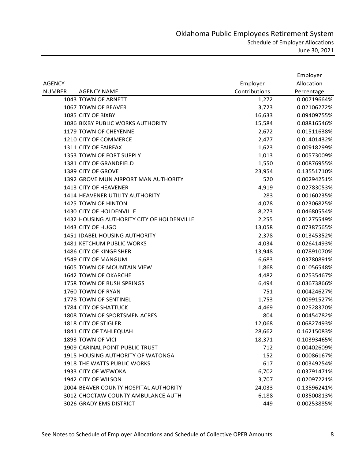|               |                                            |               | Employer    |
|---------------|--------------------------------------------|---------------|-------------|
| <b>AGENCY</b> |                                            | Employer      | Allocation  |
| <b>NUMBER</b> | <b>AGENCY NAME</b>                         | Contributions | Percentage  |
|               | 1043 TOWN OF ARNETT                        | 1,272         | 0.00719664% |
|               | 1067 TOWN OF BEAVER                        | 3,723         | 0.02106272% |
|               | 1085 CITY OF BIXBY                         | 16,633        | 0.09409755% |
|               | 1086 BIXBY PUBLIC WORKS AUTHORITY          | 15,584        | 0.08816546% |
|               | 1179 TOWN OF CHEYENNE                      | 2,672         | 0.01511638% |
|               | 1210 CITY OF COMMERCE                      | 2,477         | 0.01401432% |
|               | 1311 CITY OF FAIRFAX                       | 1,623         | 0.00918299% |
|               | 1353 TOWN OF FORT SUPPLY                   | 1,013         | 0.00573009% |
|               | 1381 CITY OF GRANDFIELD                    | 1,550         | 0.00876955% |
|               | 1389 CITY OF GROVE                         | 23,954        | 0.13551710% |
|               | 1392 GROVE MUN AIRPORT MAN AUTHORITY       | 520           | 0.00294251% |
|               | 1413 CITY OF HEAVENER                      | 4,919         | 0.02783053% |
|               | 1414 HEAVENER UTILITY AUTHORITY            | 283           | 0.00160235% |
|               | 1425 TOWN OF HINTON                        | 4,078         | 0.02306825% |
|               | 1430 CITY OF HOLDENVILLE                   | 8,273         | 0.04680554% |
|               | 1432 HOUSING AUTHORITY CITY OF HOLDENVILLE | 2,255         | 0.01275549% |
|               | 1443 CITY OF HUGO                          | 13,058        | 0.07387565% |
|               | 1451 IDABEL HOUSING AUTHORITY              | 2,378         | 0.01345352% |
|               | 1481 KETCHUM PUBLIC WORKS                  | 4,034         | 0.02641493% |
|               | 1486 CITY OF KINGFISHER                    | 13,948        | 0.07891070% |
|               | 1549 CITY OF MANGUM                        | 6,683         | 0.03780891% |
|               | 1605 TOWN OF MOUNTAIN VIEW                 | 1,868         | 0.01056548% |
|               | 1642 TOWN OF OKARCHE                       | 4,482         | 0.02535467% |
|               | 1758 TOWN OF RUSH SPRINGS                  | 6,494         | 0.03673866% |
|               | 1760 TOWN OF RYAN                          | 751           | 0.00424627% |
|               | 1778 TOWN OF SENTINEL                      | 1,753         | 0.00991527% |
|               | 1784 CITY OF SHATTUCK                      | 4,469         | 0.02528370% |
|               | 1808 TOWN OF SPORTSMEN ACRES               | 804           | 0.00454782% |
|               | 1818 CITY OF STIGLER                       | 12,068        | 0.06827493% |
|               | 1841 CITY OF TAHLEQUAH                     | 28,662        | 0.16215083% |
|               | 1893 TOWN OF VICI                          | 18,371        | 0.10393465% |
|               | 1909 CARINAL POINT PUBLIC TRUST            | 712           | 0.00402609% |
|               | 1915 HOUSING AUTHORITY OF WATONGA          | 152           | 0.00086167% |
|               | 1918 THE WATTS PUBLIC WORKS                | 617           | 0.00349254% |
|               | 1933 CITY OF WEWOKA                        | 6,702         | 0.03791471% |
|               | 1942 CITY OF WILSON                        | 3,707         | 0.02097221% |
|               | 2004 BEAVER COUNTY HOSPITAL AUTHORITY      | 24,033        | 0.13596241% |
|               | 3012 CHOCTAW COUNTY AMBULANCE AUTH         | 6,188         | 0.03500813% |
|               | 3026 GRADY EMS DISTRICT                    | 449           | 0.00253885% |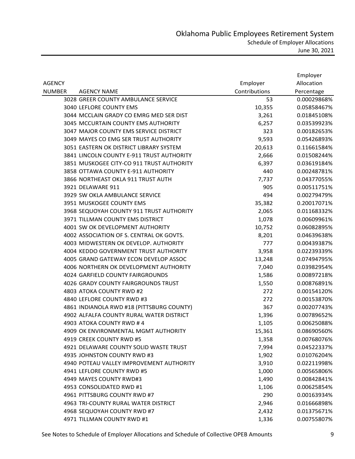|               |                                           |               | Employer    |
|---------------|-------------------------------------------|---------------|-------------|
| <b>AGENCY</b> |                                           | Employer      | Allocation  |
| <b>NUMBER</b> | <b>AGENCY NAME</b>                        | Contributions | Percentage  |
|               | 3028 GREER COUNTY AMBULANCE SERVICE       | 53            | 0.00029868% |
|               | 3040 LEFLORE COUNTY EMS                   | 10,355        | 0.05858467% |
|               | 3044 MCCLAIN GRADY CO EMRG MED SER DIST   | 3,261         | 0.01845108% |
|               | 3045 MCCURTAIN COUNTY EMS AUTHORITY       | 6,257         | 0.03539923% |
|               | 3047 MAJOR COUNTY EMS SERVICE DISTRICT    | 323           | 0.00182653% |
|               | 3049 MAYES CO EMG SER TRUST AUTHORITY     | 9,593         | 0.05426893% |
|               | 3051 EASTERN OK DISTRICT LIBRARY SYSTEM   | 20,613        | 0.11661584% |
|               | 3841 LINCOLN COUNTY E-911 TRUST AUTHORITY | 2,666         | 0.01508244% |
|               | 3851 MUSKOGEE CITY-CO 911 TRUST AUTHORITY | 6,397         | 0.03619184% |
|               | 3858 OTTAWA COUNTY E-911 AUTHORITY        | 440           | 0.00248781% |
|               | 3866 NORTHEAST OKLA 911 TRUST AUTH        | 7,737         | 0.04377055% |
|               | 3921 DELAWARE 911                         | 905           | 0.00511751% |
|               | 3929 SW OKLA AMBULANCE SERVICE            | 494           | 0.00279479% |
|               | 3951 MUSKOGEE COUNTY EMS                  | 35,382        | 0.20017071% |
|               | 3968 SEQUOYAH COUNTY 911 TRUST AUTHORITY  | 2,065         | 0.01168332% |
|               | 3971 TILLMAN COUNTY EMS DISTRICT          | 1,078         | 0.00609961% |
|               | 4001 SW OK DEVELOPMENT AUTHORITY          | 10,752        | 0.06082895% |
|               | 4002 ASSOCIATION OF S. CENTRAL OK GOVTS.  | 8,201         | 0.04639638% |
|               | 4003 MIDWESTERN OK DEVELOP. AUTHORITY     | 777           | 0.00439387% |
|               | 4004 KEDDO GOVERNMENT TRUST AUTHORITY     | 3,958         | 0.02239339% |
|               | 4005 GRAND GATEWAY ECON DEVELOP ASSOC     | 13,248        | 0.07494795% |
|               | 4006 NORTHERN OK DEVELOPMENT AUTHORITY    | 7,040         | 0.03982954% |
|               | <b>4024 GARFIELD COUNTY FAIRGROUNDS</b>   | 1,586         | 0.00897218% |
|               | 4026 GRADY COUNTY FAIRGROUNDS TRUST       | 1,550         | 0.00876891% |
|               | 4803 ATOKA COUNTY RWD #2                  | 272           | 0.00154120% |
|               | 4840 LEFLORE COUNTY RWD #3                | 272           | 0.00153870% |
|               | 4861 INDIANOLA RWD #18 (PITTSBURG COUNTY) | 367           | 0.00207743% |
|               | 4902 ALFALFA COUNTY RURAL WATER DISTRICT  | 1,396         | 0.00789652% |
|               | 4903 ATOKA COUNTY RWD # 4                 | 1,105         | 0.00625088% |
|               | 4909 OK ENVIRONMENTAL MGMT AUTHORITY      | 15,361        | 0.08690560% |
|               | 4919 CREEK COUNTY RWD #5                  | 1,358         | 0.00768076% |
|               | 4921 DELAWARE COUNTY SOLID WASTE TRUST    | 7,994         | 0.04522337% |
|               | 4935 JOHNSTON COUNTY RWD #3               | 1,902         | 0.01076204% |
|               | 4940 POTEAU VALLEY IMPROVEMENT AUTHORITY  | 3,910         | 0.02211998% |
|               | 4941 LEFLORE COUNTY RWD #5                | 1,000         | 0.00565806% |
|               | 4949 MAYES COUNTY RWD#3                   | 1,490         | 0.00842841% |
|               | 4953 CONSOLIDATED RWD #1                  | 1,106         | 0.00625854% |
|               | 4961 PITTSBURG COUNTY RWD #7              | 290           | 0.00163934% |
|               | 4963 TRI-COUNTY RURAL WATER DISTRICT      | 2,946         | 0.01666898% |
|               | 4968 SEQUOYAH COUNTY RWD #7               | 2,432         | 0.01375671% |
|               | 4971 TILLMAN COUNTY RWD #1                | 1,336         | 0.00755807% |

See Notes to Schedule of Employer Allocations and Schedule of Collective OPEB Amounts 9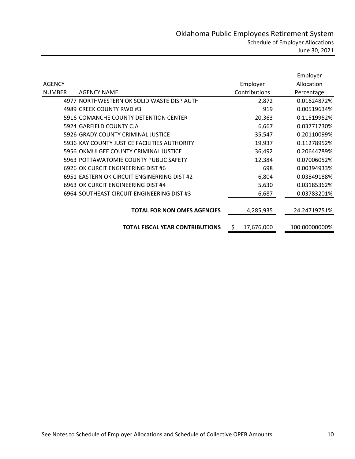|               |                                              |                   | Employer      |
|---------------|----------------------------------------------|-------------------|---------------|
| <b>AGENCY</b> |                                              | Employer          | Allocation    |
| <b>NUMBER</b> | <b>AGENCY NAME</b>                           | Contributions     | Percentage    |
|               | 4977 NORTHWESTERN OK SOLID WASTE DISP AUTH   | 2,872             | 0.01624872%   |
|               | 4989 CREEK COUNTY RWD #3                     | 919               | 0.00519634%   |
|               | 5916 COMANCHE COUNTY DETENTION CENTER        | 20,363            | 0.11519952%   |
|               | 5924 GARFIELD COUNTY CJA                     | 6,667             | 0.03771730%   |
|               | 5926 GRADY COUNTY CRIMINAL JUSTICE           | 35,547            | 0.20110099%   |
|               | 5936 KAY COUNTY JUSTICE FACILITIES AUTHORITY | 19,937            | 0.11278952%   |
|               | 5956 OKMULGEE COUNTY CRIMINAL JUSTICE        | 36,492            | 0.20644789%   |
|               | 5963 POTTAWATOMIE COUNTY PUBLIC SAFETY       | 12,384            | 0.07006052%   |
|               | 6926 OK CURCIT ENGINEERING DIST #6           | 698               | 0.00394933%   |
|               | 6951 EASTERN OK CIRCUIT ENGINERRING DIST #2  | 6,804             | 0.03849188%   |
|               | 6963 OK CURCIT ENGINEERING DIST #4           | 5,630             | 0.03185362%   |
|               | 6964 SOUTHEAST CIRCUIT ENGINEERING DIST #3   | 6,687             | 0.03783201%   |
|               |                                              |                   |               |
|               | <b>TOTAL FOR NON OMES AGENCIES</b>           | 4,285,935         | 24.24719751%  |
|               |                                              |                   |               |
|               | <b>TOTAL FISCAL YEAR CONTRIBUTIONS</b>       | 17,676,000<br>\$. | 100.00000000% |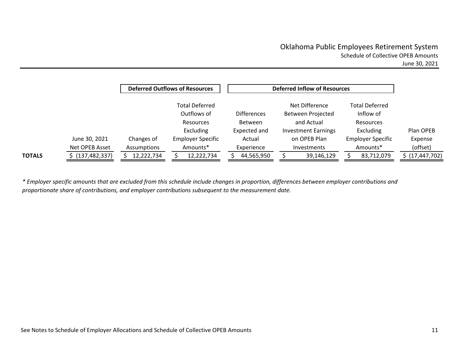|               |                 |             | <b>Deferred Outflows of Resources</b>                    |                                      | <b>Deferred Inflow of Resources</b>               |                                                 |                   |
|---------------|-----------------|-------------|----------------------------------------------------------|--------------------------------------|---------------------------------------------------|-------------------------------------------------|-------------------|
|               |                 |             | <b>Total Deferred</b><br>Outflows of<br><b>Resources</b> | <b>Differences</b><br><b>Between</b> | Net Difference<br>Between Projected<br>and Actual | <b>Total Deferred</b><br>Inflow of<br>Resources |                   |
|               |                 |             | Excluding                                                | Expected and                         | <b>Investment Earnings</b>                        | Excluding                                       | Plan OPEB         |
|               | June 30, 2021   | Changes of  | <b>Employer Specific</b>                                 | Actual                               | on OPEB Plan                                      | <b>Employer Specific</b>                        | Expense           |
|               | Net OPEB Asset  | Assumptions | Amounts*                                                 | Experience                           | <b>Investments</b>                                | Amounts*                                        | (offset)          |
| <b>TOTALS</b> | (137, 482, 337) | 12,222,734  | 12,222,734                                               | 44,565,950                           | 39,146,129                                        | 83,712,079                                      | \$ (17, 447, 702) |

\* Employer specific amounts that are excluded from this schedule include changes in proportion, differences between employer contributions and *proportionate share of contributions, and employer contributions subsequent to the measurement date.*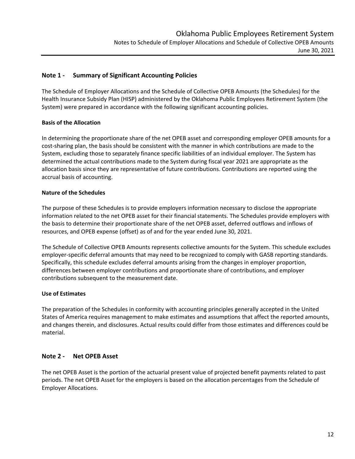## **Note 1 ‐ Summary of Significant Accounting Policies**

The Schedule of Employer Allocations and the Schedule of Collective OPEB Amounts (the Schedules) for the Health Insurance Subsidy Plan (HISP) administered by the Oklahoma Public Employees Retirement System (the System) were prepared in accordance with the following significant accounting policies.

## **Basis of the Allocation**

In determining the proportionate share of the net OPEB asset and corresponding employer OPEB amounts for a cost-sharing plan, the basis should be consistent with the manner in which contributions are made to the System, excluding those to separately finance specific liabilities of an individual employer. The System has determined the actual contributions made to the System during fiscal year 2021 are appropriate as the allocation basis since they are representative of future contributions. Contributions are reported using the accrual basis of accounting.

### **Nature of the Schedules**

The purpose of these Schedules is to provide employers information necessary to disclose the appropriate information related to the net OPEB asset for their financial statements. The Schedules provide employers with the basis to determine their proportionate share of the net OPEB asset, deferred outflows and inflows of resources, and OPEB expense (offset) as of and for the year ended June 30, 2021.

The Schedule of Collective OPEB Amounts represents collective amounts for the System. This schedule excludes employer-specific deferral amounts that may need to be recognized to comply with GASB reporting standards. Specifically, this schedule excludes deferral amounts arising from the changes in employer proportion, differences between employer contributions and proportionate share of contributions, and employer contributions subsequent to the measurement date.

## **Use of Estimates**

The preparation of the Schedules in conformity with accounting principles generally accepted in the United States of America requires management to make estimates and assumptions that affect the reported amounts, and changes therein, and disclosures. Actual results could differ from those estimates and differences could be material.

## **Note 2 ‐ Net OPEB Asset**

The net OPEB Asset is the portion of the actuarial present value of projected benefit payments related to past periods. The net OPEB Asset for the employers is based on the allocation percentages from the Schedule of Employer Allocations.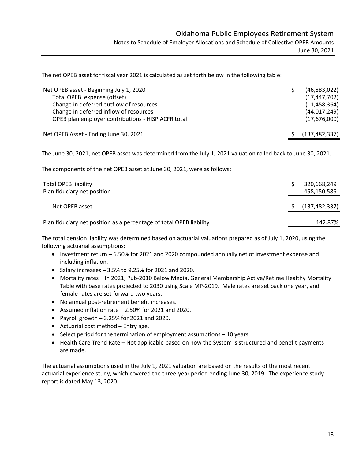The net OPEB asset for fiscal year 2021 is calculated as set forth below in the following table:

| Net OPEB asset - Beginning July 1, 2020<br>Total OPEB expense (offset)<br>Change in deferred outflow of resources<br>Change in deferred inflow of resources<br>OPEB plan employer contributions - HISP ACFR total | (46,883,022)<br>(17, 447, 702)<br>(11, 458, 364)<br>(44, 017, 249)<br>(17,676,000) |
|-------------------------------------------------------------------------------------------------------------------------------------------------------------------------------------------------------------------|------------------------------------------------------------------------------------|
| Net OPEB Asset - Ending June 30, 2021                                                                                                                                                                             | (137, 482, 337)                                                                    |

The June 30, 2021, net OPEB asset was determined from the July 1, 2021 valuation rolled back to June 30, 2021.

The components of the net OPEB asset at June 30, 2021, were as follows:

| <b>Total OPEB liability</b><br>Plan fiduciary net position          | 320,668,249<br>458,150,586 |
|---------------------------------------------------------------------|----------------------------|
| Net OPEB asset                                                      | (137, 482, 337)            |
| Plan fiduciary net position as a percentage of total OPEB liability | 142.87%                    |

The total pension liability was determined based on actuarial valuations prepared as of July 1, 2020, using the following actuarial assumptions:

- Investment return 6.50% for 2021 and 2020 compounded annually net of investment expense and including inflation.
- Salary increases  $-3.5%$  to 9.25% for 2021 and 2020.
- Mortality rates In 2021, Pub‐2010 Below Media, General Membership Active/Retiree Healthy Mortality Table with base rates projected to 2030 using Scale MP‐2019. Male rates are set back one year, and female rates are set forward two years.
- No annual post-retirement benefit increases.
- Assumed inflation rate  $-2.50\%$  for 2021 and 2020.
- Payroll growth  $-3.25%$  for 2021 and 2020.
- Actuarial cost method Entry age.
- $\bullet$  Select period for the termination of employment assumptions  $-10$  years.
- Health Care Trend Rate Not applicable based on how the System is structured and benefit payments are made.

The actuarial assumptions used in the July 1, 2021 valuation are based on the results of the most recent actuarial experience study, which covered the three‐year period ending June 30, 2019. The experience study report is dated May 13, 2020.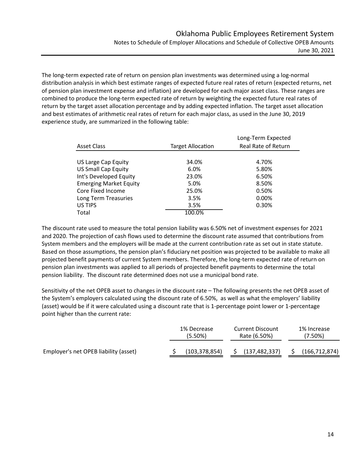The long‐term expected rate of return on pension plan investments was determined using a log‐normal distribution analysis in which best estimate ranges of expected future real rates of return (expected returns, net of pension plan investment expense and inflation) are developed for each major asset class. These ranges are combined to produce the long-term expected rate of return by weighting the expected future real rates of return by the target asset allocation percentage and by adding expected inflation. The target asset allocation and best estimates of arithmetic real rates of return for each major class, as used in the June 30, 2019 experience study, are summarized in the following table:

|                               |                          | Long-Term Expected  |  |  |
|-------------------------------|--------------------------|---------------------|--|--|
| <b>Asset Class</b>            | <b>Target Allocation</b> | Real Rate of Return |  |  |
|                               |                          |                     |  |  |
| US Large Cap Equity           | 34.0%                    | 4.70%               |  |  |
| <b>US Small Cap Equity</b>    | 6.0%                     | 5.80%               |  |  |
| Int's Developed Equity        | 23.0%                    | 6.50%               |  |  |
| <b>Emerging Market Equity</b> | 5.0%                     | 8.50%               |  |  |
| Core Fixed Income             | 25.0%                    | 0.50%               |  |  |
| Long Term Treasuries          | 3.5%                     | 0.00%               |  |  |
| US TIPS                       | 3.5%                     | 0.30%               |  |  |
| Total                         | 100.0%                   |                     |  |  |

The discount rate used to measure the total pension liability was 6.50% net of investment expenses for 2021 and 2020. The projection of cash flows used to determine the discount rate assumed that contributions from System members and the employers will be made at the current contribution rate as set out in state statute. Based on those assumptions, the pension plan's fiduciary net position was projected to be available to make all projected benefit payments of current System members. Therefore, the long‐term expected rate of return on pension plan investments was applied to all periods of projected benefit payments to determine the total pension liability. The discount rate determined does not use a municipal bond rate.

Sensitivity of the net OPEB asset to changes in the discount rate – The following presents the net OPEB asset of the System's employers calculated using the discount rate of 6.50%, as well as what the employers' liability (asset) would be if it were calculated using a discount rate that is 1‐percentage point lower or 1‐percentage point higher than the current rate:

|                                       | 1% Decrease<br>$(5.50\%)$ | <b>Current Discount</b><br>Rate (6.50%) | 1% Increase<br>$(7.50\%)$ |
|---------------------------------------|---------------------------|-----------------------------------------|---------------------------|
| Employer's net OPEB liability (asset) | (103,378,854)             | (137, 482, 337)                         | (166, 712, 874)           |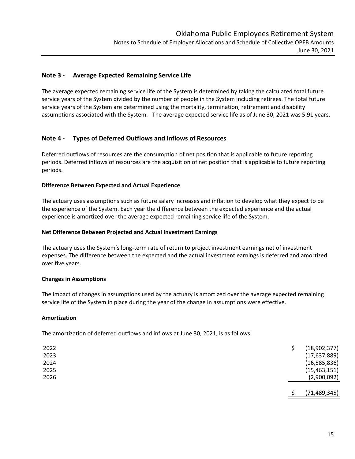### **Note 3 ‐ Average Expected Remaining Service Life**

The average expected remaining service life of the System is determined by taking the calculated total future service years of the System divided by the number of people in the System including retirees. The total future service years of the System are determined using the mortality, termination, retirement and disability assumptions associated with the System. The average expected service life as of June 30, 2021 was 5.91 years.

### **Note 4 ‐ Types of Deferred Outflows and Inflows of Resources**

Deferred outflows of resources are the consumption of net position that is applicable to future reporting periods. Deferred inflows of resources are the acquisition of net position that is applicable to future reporting periods.

### **Difference Between Expected and Actual Experience**

The actuary uses assumptions such as future salary increases and inflation to develop what they expect to be the experience of the System. Each year the difference between the expected experience and the actual experience is amortized over the average expected remaining service life of the System.

#### **Net Difference Between Projected and Actual Investment Earnings**

The actuary uses the System's long-term rate of return to project investment earnings net of investment expenses. The difference between the expected and the actual investment earnings is deferred and amortized over five years.

#### **Changes in Assumptions**

The impact of changes in assumptions used by the actuary is amortized over the average expected remaining service life of the System in place during the year of the change in assumptions were effective.

#### **Amortization**

The amortization of deferred outflows and inflows at June 30, 2021, is as follows:

| (15, 463, 151)<br>(2,900,092) |
|-------------------------------|
|                               |
|                               |
| (16, 585, 836)                |